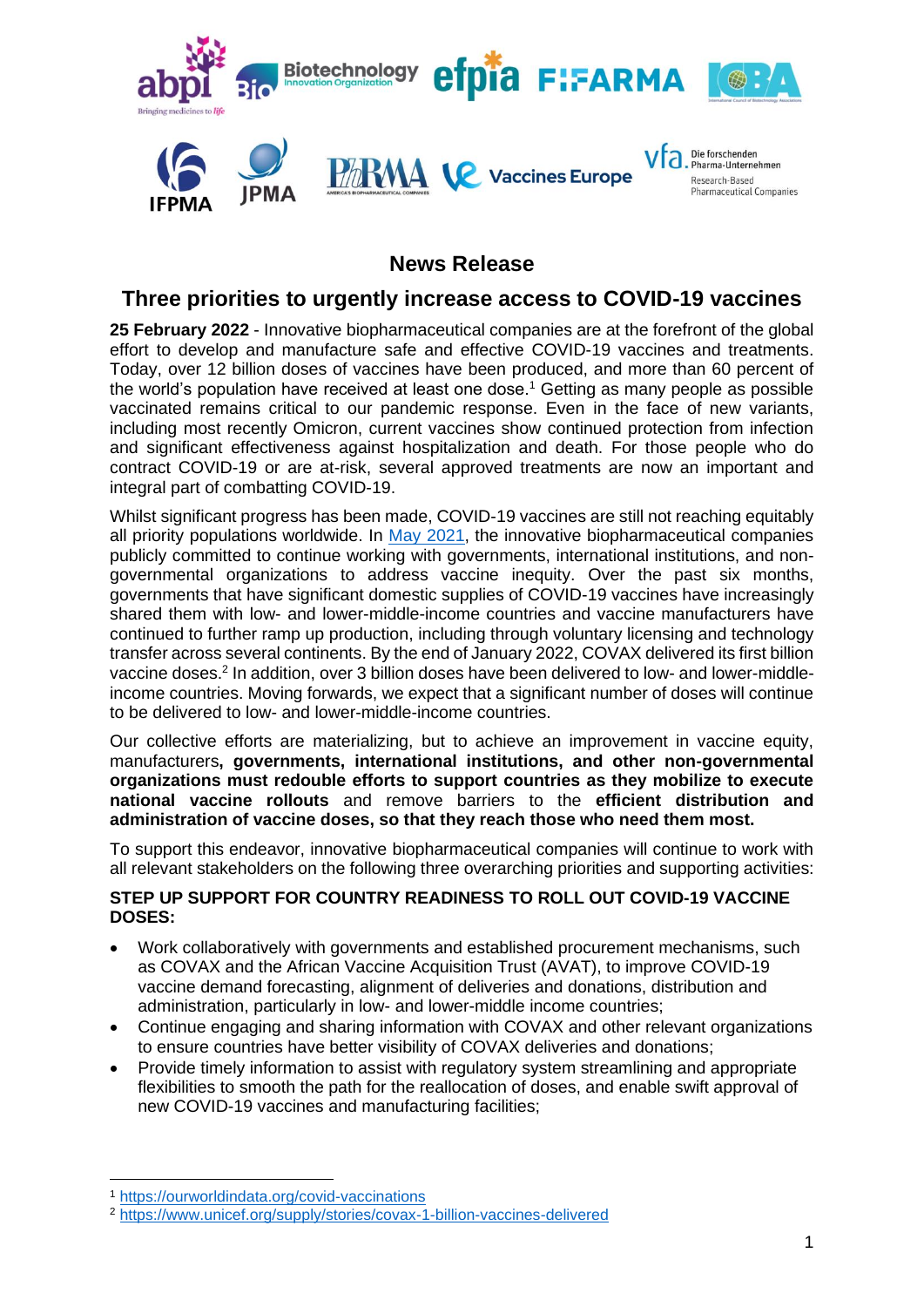

# **News Release**

## **Three priorities to urgently increase access to COVID-19 vaccines**

**25 February 2022** - Innovative biopharmaceutical companies are at the forefront of the global effort to develop and manufacture safe and effective COVID-19 vaccines and treatments. Today, over 12 billion doses of vaccines have been produced, and more than 60 percent of the world's population have received at least one dose.<sup>1</sup> Getting as many people as possible vaccinated remains critical to our pandemic response. Even in the face of new variants, including most recently Omicron, current vaccines show continued protection from infection and significant effectiveness against hospitalization and death. For those people who do contract COVID-19 or are at-risk, several approved treatments are now an important and integral part of combatting COVID-19.

Whilst significant progress has been made, COVID-19 vaccines are still not reaching equitably all priority populations worldwide. In [May 2021,](https://www.ifpma.org/resource-centre/five-steps-to-urgently-advance-covid-19-vaccine-equity/) the innovative biopharmaceutical companies publicly committed to continue working with governments, international institutions, and nongovernmental organizations to address vaccine inequity. Over the past six months, governments that have significant domestic supplies of COVID-19 vaccines have increasingly shared them with low- and lower-middle-income countries and vaccine manufacturers have continued to further ramp up production, including through voluntary licensing and technology transfer across several continents. By the end of January 2022, COVAX delivered its first billion vaccine doses.<sup>2</sup> In addition, over 3 billion doses have been delivered to low- and lower-middleincome countries. Moving forwards, we expect that a significant number of doses will continue to be delivered to low- and lower-middle-income countries.

Our collective efforts are materializing, but to achieve an improvement in vaccine equity, manufacturers**, governments, international institutions, and other non-governmental organizations must redouble efforts to support countries as they mobilize to execute national vaccine rollouts** and remove barriers to the **efficient distribution and administration of vaccine doses, so that they reach those who need them most.**

To support this endeavor, innovative biopharmaceutical companies will continue to work with all relevant stakeholders on the following three overarching priorities and supporting activities:

### **STEP UP SUPPORT FOR COUNTRY READINESS TO ROLL OUT COVID-19 VACCINE DOSES:**

- Work collaboratively with governments and established procurement mechanisms, such as COVAX and the African Vaccine Acquisition Trust (AVAT), to improve COVID-19 vaccine demand forecasting, alignment of deliveries and donations, distribution and administration, particularly in low- and lower-middle income countries;
- Continue engaging and sharing information with COVAX and other relevant organizations to ensure countries have better visibility of COVAX deliveries and donations;
- Provide timely information to assist with regulatory system streamlining and appropriate flexibilities to smooth the path for the reallocation of doses, and enable swift approval of new COVID-19 vaccines and manufacturing facilities;

<sup>1</sup> <https://ourworldindata.org/covid-vaccinations>

<sup>2</sup> <https://www.unicef.org/supply/stories/covax-1-billion-vaccines-delivered>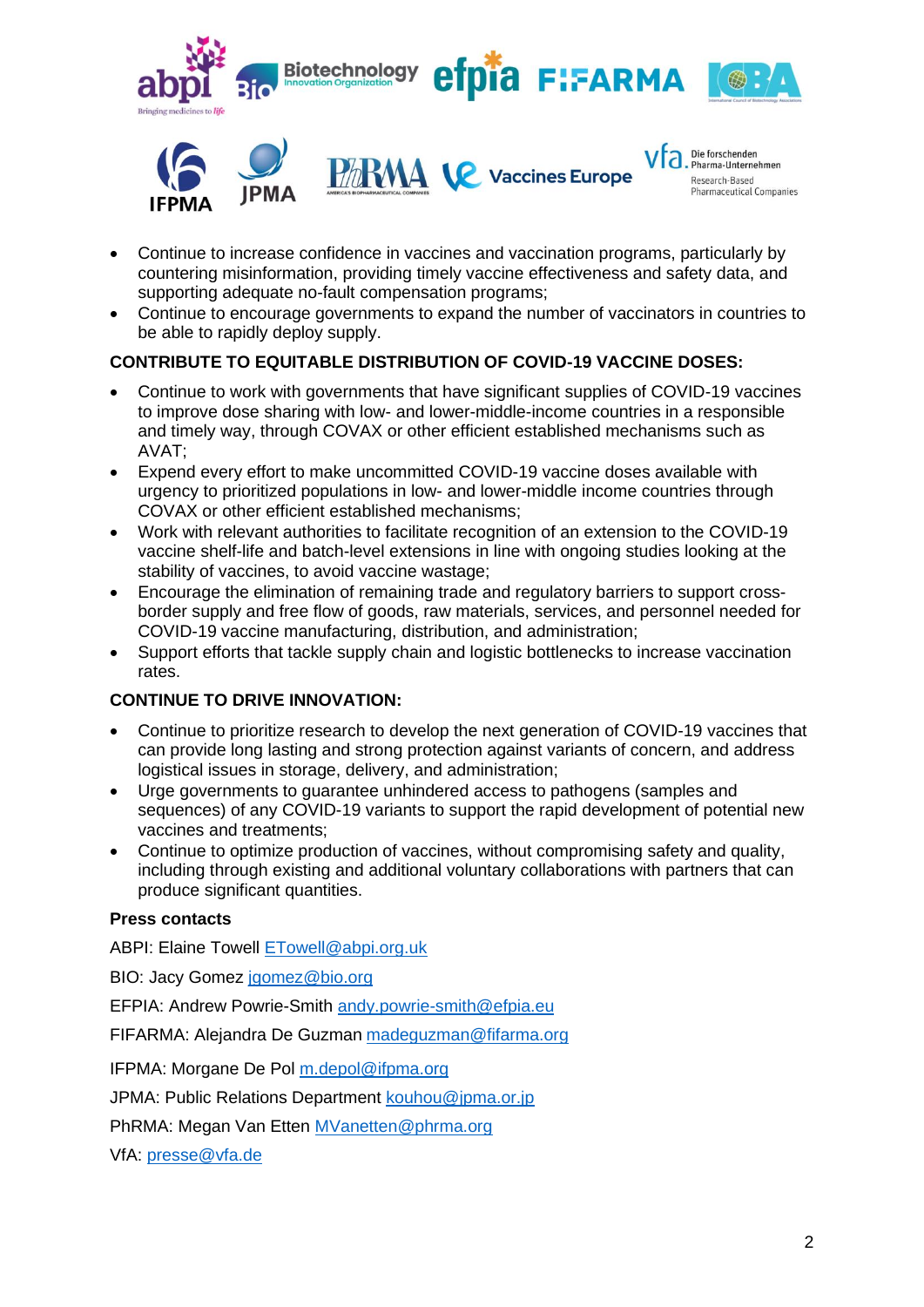

- Continue to increase confidence in vaccines and vaccination programs, particularly by countering misinformation, providing timely vaccine effectiveness and safety data, and supporting adequate no-fault compensation programs;
- Continue to encourage governments to expand the number of vaccinators in countries to be able to rapidly deploy supply.

### **CONTRIBUTE TO EQUITABLE DISTRIBUTION OF COVID-19 VACCINE DOSES:**

- Continue to work with governments that have significant supplies of COVID-19 vaccines to improve dose sharing with low- and lower-middle-income countries in a responsible and timely way, through COVAX or other efficient established mechanisms such as AVAT;
- Expend every effort to make uncommitted COVID-19 vaccine doses available with urgency to prioritized populations in low- and lower-middle income countries through COVAX or other efficient established mechanisms;
- Work with relevant authorities to facilitate recognition of an extension to the COVID-19 vaccine shelf-life and batch-level extensions in line with ongoing studies looking at the stability of vaccines, to avoid vaccine wastage;
- Encourage the elimination of remaining trade and regulatory barriers to support crossborder supply and free flow of goods, raw materials, services, and personnel needed for COVID-19 vaccine manufacturing, distribution, and administration;
- Support efforts that tackle supply chain and logistic bottlenecks to increase vaccination rates.

#### **CONTINUE TO DRIVE INNOVATION:**

- Continue to prioritize research to develop the next generation of COVID-19 vaccines that can provide long lasting and strong protection against variants of concern, and address logistical issues in storage, delivery, and administration;
- Urge governments to guarantee unhindered access to pathogens (samples and sequences) of any COVID-19 variants to support the rapid development of potential new vaccines and treatments;
- Continue to optimize production of vaccines, without compromising safety and quality, including through existing and additional voluntary collaborations with partners that can produce significant quantities.

#### **Press contacts**

ABPI: Elaine Towell [ETowell@abpi.org.uk](mailto:ETowell@abpi.org.uk)

BIO: Jacy Gomez [jgomez@bio.org](mailto:jgomez@bio.org)

EFPIA: Andrew Powrie-Smith [andy.powrie-smith@efpia.eu](mailto:andy.powrie-smith@efpia.eu)

FIFARMA: Alejandra De Guzman [madeguzman@fifarma.org](mailto:madeguzman@fifarma.org)

IFPMA: Morgane De Pol [m.depol@ifpma.org](mailto:m.depol@ifpma.org)

JPMA: Public Relations Department [kouhou@jpma.or.jp](mailto:kouhou@jpma.or.jp)

PhRMA: Megan Van Etten [MVanetten@phrma.org](mailto:MVanetten@phrma.org)

VfA: [presse@vfa.de](mailto:presse@vfa.de)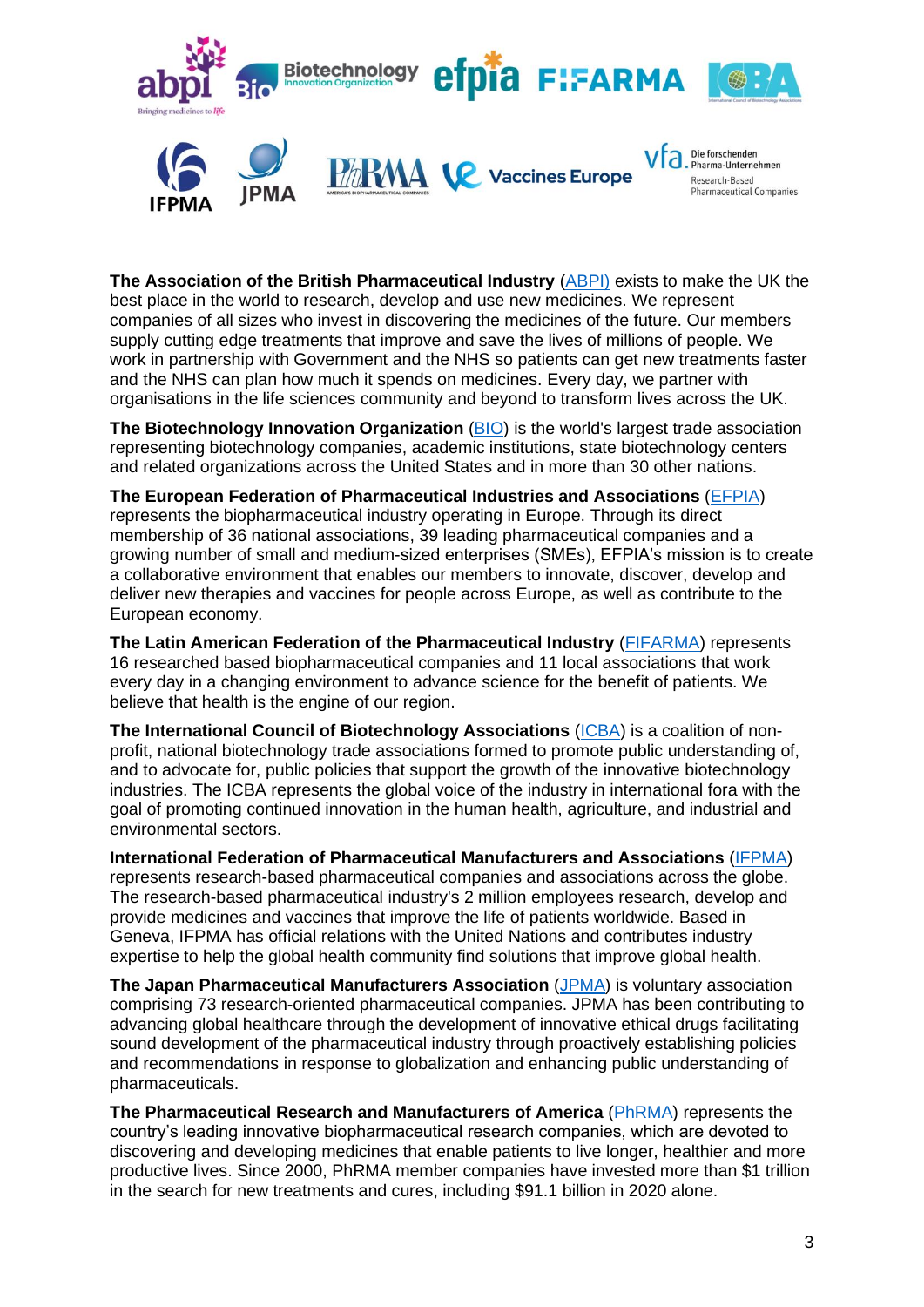

**The Association of the British Pharmaceutical Industry** [\(ABPI\)](https://www.abpi.org.uk/#94796047) exists to make the UK the best place in the world to research, develop and use new medicines. We represent companies of all sizes who invest in discovering the medicines of the future. Our members supply cutting edge treatments that improve and save the lives of millions of people. We work in partnership with Government and the NHS so patients can get new treatments faster and the NHS can plan how much it spends on medicines. Every day, we partner with organisations in the life sciences community and beyond to transform lives across the UK.

**The Biotechnology Innovation Organization** [\(BIO\)](https://www.bio.org/) is the world's largest trade association representing biotechnology companies, academic institutions, state biotechnology centers and related organizations across the United States and in more than 30 other nations.

**The European Federation of Pharmaceutical Industries and Associations** [\(EFPIA\)](https://www.efpia.eu/about-us/) represents the biopharmaceutical industry operating in Europe. Through its direct membership of 36 national associations, 39 leading pharmaceutical companies and a growing number of small and medium-sized enterprises (SMEs), EFPIA's mission is to create a collaborative environment that enables our members to innovate, discover, develop and deliver new therapies and vaccines for people across Europe, as well as contribute to the European economy.

**The Latin American Federation of the Pharmaceutical Industry** [\(FIFARMA\)](https://fifarma.org/en/) represents 16 researched based biopharmaceutical companies and 11 local associations that work every day in a changing environment to advance science for the benefit of patients. We believe that health is the engine of our region.

**The International Council of Biotechnology Associations** [\(ICBA\)](https://internationalbiotech.org/) is a coalition of nonprofit, national biotechnology trade associations formed to promote public understanding of, and to advocate for, public policies that support the growth of the innovative biotechnology industries. The ICBA represents the global voice of the industry in international fora with the goal of promoting continued innovation in the human health, agriculture, and industrial and environmental sectors.

**International Federation of Pharmaceutical Manufacturers and Associations** [\(IFPMA\)](https://www.ifpma.org/) represents research-based pharmaceutical companies and associations across the globe. The research-based pharmaceutical industry's 2 million employees research, develop and provide medicines and vaccines that improve the life of patients worldwide. Based in Geneva, IFPMA has official relations with the United Nations and contributes industry expertise to help the global health community find solutions that improve global health.

**The Japan Pharmaceutical Manufacturers Association** [\(JPMA\)](https://www.jpma.or.jp/english/) is voluntary association comprising 73 research-oriented pharmaceutical companies. JPMA has been contributing to advancing global healthcare through the development of innovative ethical drugs facilitating sound development of the pharmaceutical industry through proactively establishing policies and recommendations in response to globalization and enhancing public understanding of pharmaceuticals.

**The Pharmaceutical Research and Manufacturers of America** [\(PhRMA\)](https://www.phrma.org/) represents the country's leading innovative biopharmaceutical research companies, which are devoted to discovering and developing medicines that enable patients to live longer, healthier and more productive lives. Since 2000, PhRMA member companies have invested more than \$1 trillion in the search for new treatments and cures, including \$91.1 billion in 2020 alone.